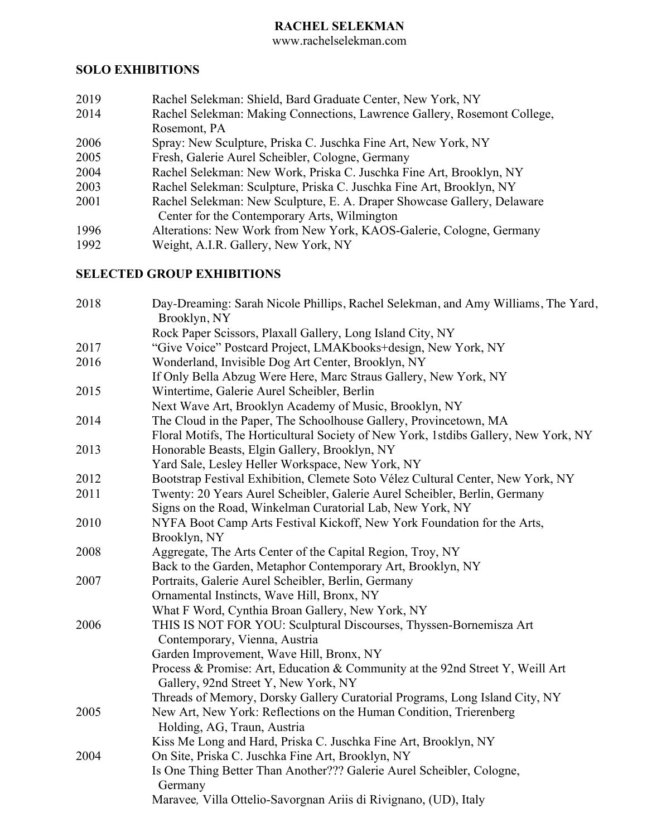# **RACHEL SELEKMAN**

www.rachelselekman.com

#### **SOLO EXHIBITIONS**

- 2019 Rachel Selekman: Shield, Bard Graduate Center, New York, NY
- 2014 Rachel Selekman: Making Connections, Lawrence Gallery, Rosemont College, Rosemont, PA
- 2006 Spray: New Sculpture, Priska C. Juschka Fine Art, New York, NY
- 2005 Fresh, Galerie Aurel Scheibler, Cologne, Germany
- 2004 Rachel Selekman: New Work, Priska C. Juschka Fine Art, Brooklyn, NY
- 2003 Rachel Selekman: Sculpture, Priska C. Juschka Fine Art, Brooklyn, NY
- 2001 Rachel Selekman: New Sculpture, E. A. Draper Showcase Gallery, Delaware Center for the Contemporary Arts, Wilmington
- 1996 Alterations: New Work from New York, KAOS-Galerie, Cologne, Germany<br>1992 Weight, A.I.R. Gallery, New York, NY
- Weight, A.I.R. Gallery, New York, NY

# **SELECTED GROUP EXHIBITIONS**

| 2018 | Day-Dreaming: Sarah Nicole Phillips, Rachel Selekman, and Amy Williams, The Yard,<br>Brooklyn, NY                     |
|------|-----------------------------------------------------------------------------------------------------------------------|
|      | Rock Paper Scissors, Plaxall Gallery, Long Island City, NY                                                            |
| 2017 | "Give Voice" Postcard Project, LMAKbooks+design, New York, NY                                                         |
| 2016 | Wonderland, Invisible Dog Art Center, Brooklyn, NY                                                                    |
|      | If Only Bella Abzug Were Here, Marc Straus Gallery, New York, NY                                                      |
| 2015 | Wintertime, Galerie Aurel Scheibler, Berlin                                                                           |
|      | Next Wave Art, Brooklyn Academy of Music, Brooklyn, NY                                                                |
| 2014 | The Cloud in the Paper, The Schoolhouse Gallery, Provincetown, MA                                                     |
|      | Floral Motifs, The Horticultural Society of New York, 1stdibs Gallery, New York, NY                                   |
| 2013 | Honorable Beasts, Elgin Gallery, Brooklyn, NY                                                                         |
|      | Yard Sale, Lesley Heller Workspace, New York, NY                                                                      |
| 2012 | Bootstrap Festival Exhibition, Clemete Soto Vélez Cultural Center, New York, NY                                       |
| 2011 | Twenty: 20 Years Aurel Scheibler, Galerie Aurel Scheibler, Berlin, Germany                                            |
|      | Signs on the Road, Winkelman Curatorial Lab, New York, NY                                                             |
| 2010 | NYFA Boot Camp Arts Festival Kickoff, New York Foundation for the Arts,                                               |
|      | Brooklyn, NY                                                                                                          |
| 2008 | Aggregate, The Arts Center of the Capital Region, Troy, NY                                                            |
|      | Back to the Garden, Metaphor Contemporary Art, Brooklyn, NY                                                           |
| 2007 | Portraits, Galerie Aurel Scheibler, Berlin, Germany                                                                   |
|      | Ornamental Instincts, Wave Hill, Bronx, NY                                                                            |
|      | What F Word, Cynthia Broan Gallery, New York, NY                                                                      |
| 2006 | THIS IS NOT FOR YOU: Sculptural Discourses, Thyssen-Bornemisza Art                                                    |
|      | Contemporary, Vienna, Austria                                                                                         |
|      | Garden Improvement, Wave Hill, Bronx, NY                                                                              |
|      | Process & Promise: Art, Education & Community at the 92nd Street Y, Weill Art<br>Gallery, 92nd Street Y, New York, NY |
|      | Threads of Memory, Dorsky Gallery Curatorial Programs, Long Island City, NY                                           |
| 2005 | New Art, New York: Reflections on the Human Condition, Trierenberg<br>Holding, AG, Traun, Austria                     |
|      | Kiss Me Long and Hard, Priska C. Juschka Fine Art, Brooklyn, NY                                                       |
| 2004 | On Site, Priska C. Juschka Fine Art, Brooklyn, NY                                                                     |
|      | Is One Thing Better Than Another??? Galerie Aurel Scheibler, Cologne,<br>Germany                                      |
|      | Maravee, Villa Ottelio-Savorgnan Ariis di Rivignano, (UD), Italy                                                      |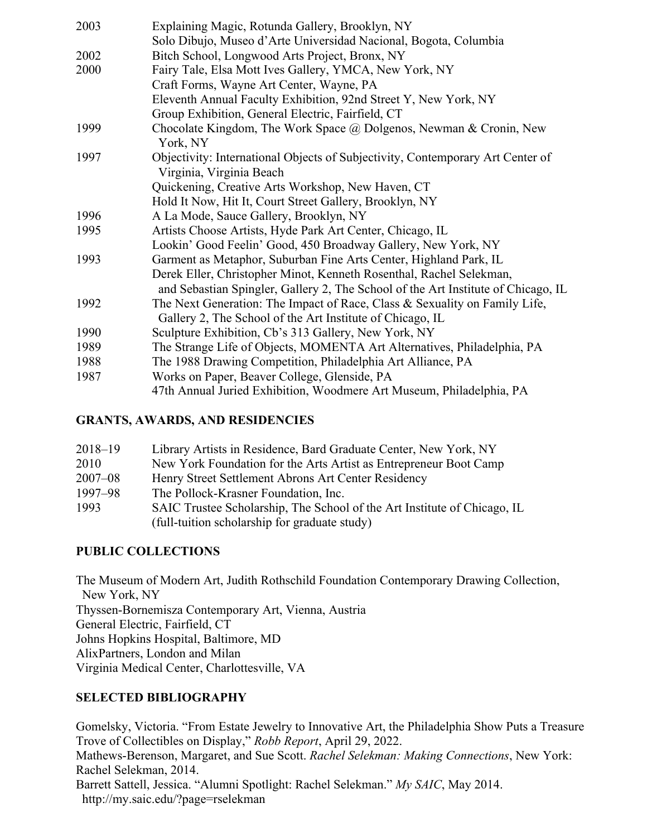| 2003 | Explaining Magic, Rotunda Gallery, Brooklyn, NY                                   |
|------|-----------------------------------------------------------------------------------|
|      | Solo Dibujo, Museo d'Arte Universidad Nacional, Bogota, Columbia                  |
| 2002 | Bitch School, Longwood Arts Project, Bronx, NY                                    |
| 2000 | Fairy Tale, Elsa Mott Ives Gallery, YMCA, New York, NY                            |
|      | Craft Forms, Wayne Art Center, Wayne, PA                                          |
|      | Eleventh Annual Faculty Exhibition, 92nd Street Y, New York, NY                   |
|      | Group Exhibition, General Electric, Fairfield, CT                                 |
| 1999 | Chocolate Kingdom, The Work Space @ Dolgenos, Newman & Cronin, New<br>York, NY    |
| 1997 | Objectivity: International Objects of Subjectivity, Contemporary Art Center of    |
|      | Virginia, Virginia Beach                                                          |
|      | Quickening, Creative Arts Workshop, New Haven, CT                                 |
|      | Hold It Now, Hit It, Court Street Gallery, Brooklyn, NY                           |
| 1996 | A La Mode, Sauce Gallery, Brooklyn, NY                                            |
| 1995 | Artists Choose Artists, Hyde Park Art Center, Chicago, IL                         |
|      | Lookin' Good Feelin' Good, 450 Broadway Gallery, New York, NY                     |
| 1993 | Garment as Metaphor, Suburban Fine Arts Center, Highland Park, IL                 |
|      | Derek Eller, Christopher Minot, Kenneth Rosenthal, Rachel Selekman,               |
|      | and Sebastian Spingler, Gallery 2, The School of the Art Institute of Chicago, IL |
| 1992 | The Next Generation: The Impact of Race, Class & Sexuality on Family Life,        |
|      | Gallery 2, The School of the Art Institute of Chicago, IL                         |
| 1990 | Sculpture Exhibition, Cb's 313 Gallery, New York, NY                              |
| 1989 | The Strange Life of Objects, MOMENTA Art Alternatives, Philadelphia, PA           |
| 1988 | The 1988 Drawing Competition, Philadelphia Art Alliance, PA                       |
| 1987 | Works on Paper, Beaver College, Glenside, PA                                      |
|      | 47th Annual Juried Exhibition, Woodmere Art Museum, Philadelphia, PA              |

### **GRANTS, AWARDS, AND RESIDENCIES**

| $2018 - 19$ | Library Artists in Residence, Bard Graduate Center, New York, NY         |
|-------------|--------------------------------------------------------------------------|
| 2010        | New York Foundation for the Arts Artist as Entrepreneur Boot Camp        |
| $2007 - 08$ | Henry Street Settlement Abrons Art Center Residency                      |
| 1997-98     | The Pollock-Krasner Foundation, Inc.                                     |
| 1993        | SAIC Trustee Scholarship, The School of the Art Institute of Chicago, IL |
|             | (full-tuition scholarship for graduate study)                            |

# **PUBLIC COLLECTIONS**

The Museum of Modern Art, Judith Rothschild Foundation Contemporary Drawing Collection, New York, NY Thyssen-Bornemisza Contemporary Art, Vienna, Austria General Electric, Fairfield, CT Johns Hopkins Hospital, Baltimore, MD AlixPartners, London and Milan Virginia Medical Center, Charlottesville, VA

# **SELECTED BIBLIOGRAPHY**

Gomelsky, Victoria. "From Estate Jewelry to Innovative Art, the Philadelphia Show Puts a Treasure Trove of Collectibles on Display," *Robb Report*, April 29, 2022. Mathews-Berenson, Margaret, and Sue Scott. *Rachel Selekman: Making Connections*, New York: Rachel Selekman, 2014.

Barrett Sattell, Jessica. "Alumni Spotlight: Rachel Selekman." *My SAIC*, May 2014. http://my.saic.edu/?page=rselekman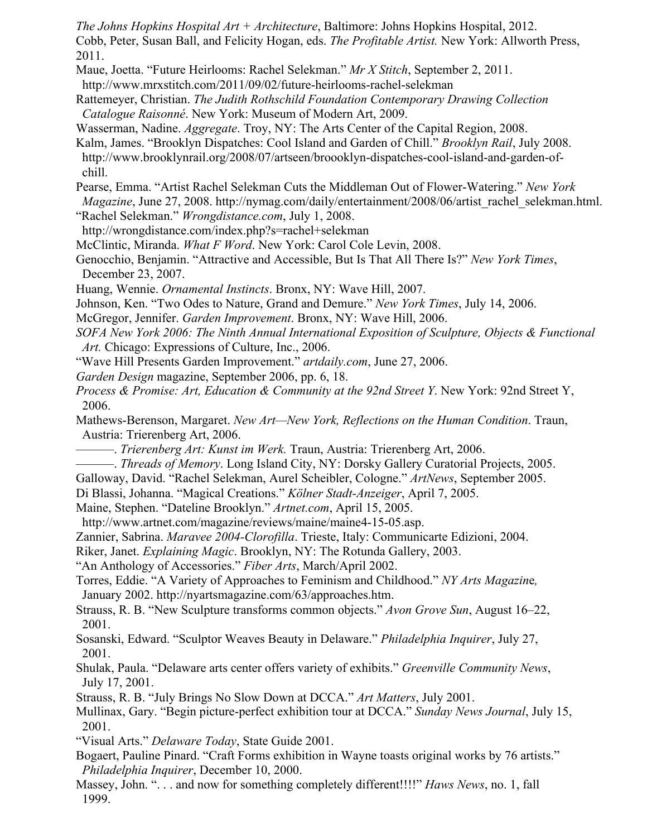*The Johns Hopkins Hospital Art + Architecture*, Baltimore: Johns Hopkins Hospital, 2012. Cobb, Peter, Susan Ball, and Felicity Hogan, eds. *The Profitable Artist.* New York: Allworth Press, 2011.

Maue, Joetta. "Future Heirlooms: Rachel Selekman." *Mr X Stitch*, September 2, 2011. http://www.mrxstitch.com/2011/09/02/future-heirlooms-rachel-selekman

Rattemeyer, Christian. *The Judith Rothschild Foundation Contemporary Drawing Collection Catalogue Raisonné*. New York: Museum of Modern Art, 2009.

Wasserman, Nadine. *Aggregate*. Troy, NY: The Arts Center of the Capital Region, 2008.

Kalm, James. "Brooklyn Dispatches: Cool Island and Garden of Chill." *Brooklyn Rail*, July 2008. http://www.brooklynrail.org/2008/07/artseen/broooklyn-dispatches-cool-island-and-garden-of chill.

Pearse, Emma. "Artist Rachel Selekman Cuts the Middleman Out of Flower-Watering." *New York Magazine*, June 27, 2008. http://nymag.com/daily/entertainment/2008/06/artist\_rachel\_selekman.html.

- "Rachel Selekman." *Wrongdistance.com*, July 1, 2008.
- http://wrongdistance.com/index.php?s=rachel+selekman McClintic, Miranda. *What F Word*. New York: Carol Cole Levin, 2008.
- Genocchio, Benjamin. "Attractive and Accessible, But Is That All There Is?" *New York Times*, December 23, 2007.
- Huang, Wennie. *Ornamental Instincts*. Bronx, NY: Wave Hill, 2007.
- Johnson, Ken. "Two Odes to Nature, Grand and Demure." *New York Times*, July 14, 2006.
- McGregor, Jennifer. *Garden Improvement*. Bronx, NY: Wave Hill, 2006.
- *SOFA New York 2006: The Ninth Annual International Exposition of Sculpture, Objects & Functional Art.* Chicago: Expressions of Culture, Inc., 2006.
- "Wave Hill Presents Garden Improvement." *artdaily.com*, June 27, 2006.
- *Garden Design* magazine, September 2006, pp. 6, 18.
- *Process & Promise: Art, Education & Community at the 92nd Street Y*. New York: 92nd Street Y, 2006.

Mathews-Berenson, Margaret. *New Art—New York, Reflections on the Human Condition*. Traun, Austria: Trierenberg Art, 2006.

- ———. *Trierenberg Art: Kunst im Werk.* Traun, Austria: Trierenberg Art, 2006.
- ———. *Threads of Memory*. Long Island City, NY: Dorsky Gallery Curatorial Projects, 2005.
- Galloway, David. "Rachel Selekman, Aurel Scheibler, Cologne." *ArtNews*, September 2005.
- Di Blassi, Johanna. "Magical Creations." *Kölner Stadt-Anzeiger*, April 7, 2005.
- Maine, Stephen. "Dateline Brooklyn." *Artnet.com*, April 15, 2005.
- http://www.artnet.com/magazine/reviews/maine/maine4-15-05.asp.
- Zannier, Sabrina. *Maravee 2004-Clorofilla*. Trieste, Italy: Communicarte Edizioni, 2004.

Riker, Janet. *Explaining Magic*. Brooklyn, NY: The Rotunda Gallery, 2003.

- "An Anthology of Accessories." *Fiber Arts*, March/April 2002.
- Torres, Eddie. "A Variety of Approaches to Feminism and Childhood." *NY Arts Magazin*e*,*  January 2002. http://nyartsmagazine.com/63/approaches.htm.
- Strauss, R. B. "New Sculpture transforms common objects." *Avon Grove Sun*, August 16–22, 2001.
- Sosanski, Edward. "Sculptor Weaves Beauty in Delaware." *Philadelphia Inquirer*, July 27, 2001.
- Shulak, Paula. "Delaware arts center offers variety of exhibits." *Greenville Community News*, July 17, 2001.
- Strauss, R. B. "July Brings No Slow Down at DCCA." *Art Matters*, July 2001.
- Mullinax, Gary. "Begin picture-perfect exhibition tour at DCCA." *Sunday News Journal*, July 15, 2001.
- "Visual Arts." *Delaware Today*, State Guide 2001.
- Bogaert, Pauline Pinard. "Craft Forms exhibition in Wayne toasts original works by 76 artists." *Philadelphia Inquirer*, December 10, 2000.
- Massey, John. ". . . and now for something completely different!!!!" *Haws News*, no. 1, fall 1999.